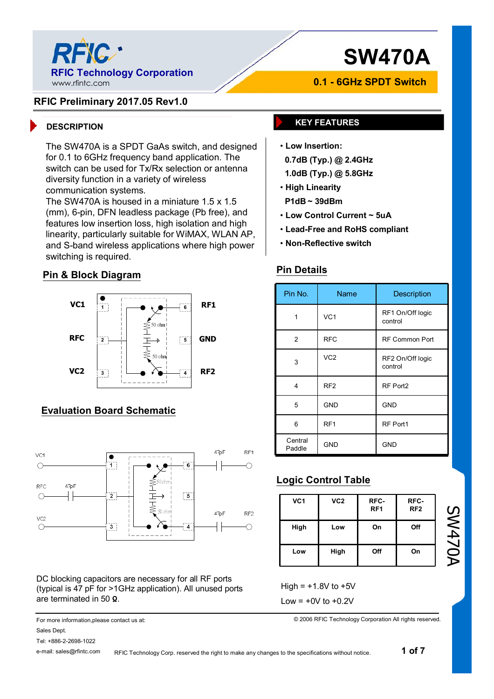

# **SW470A**

### **RFIC Preliminary 2017.05 Rev1.0**

The SW470A is a SPDT GaAs switch, and designed for 0.1 to 6GHz frequency band application. The switch can be used for Tx/Rx selection or antenna diversity function in a variety of wireless communication systems.

The SW470A is housed in a miniature 1.5 x 1.5 (mm), 6-pin, DFN leadless package (Pb free), and features low insertion loss, high isolation and high linearity, particularly suitable for WiMAX, WLAN AP, and S-band wireless applications where high power switching is required.

### **Pin & Block Diagram**



## **Evaluation Board Schematic**



DC blocking capacitors are necessary for all RF ports (typical is 47 pF for >1GHz application). All unused ports are terminated in 50 **Ω**.

For more information,please contact us at: Sales Dept.

Tel: +886-2-2698-1022

e-mail: sales@rfintc.com

**0.1 - 6GHz SPDT Switch**

## **DESCRIPTION KEY FEATURES**

- **Low Insertion:**
	- **0.7dB (Typ.) @ 2.4GHz**
	- **1.0dB (Typ.) @ 5.8GHz**
- **High Linearity**
- **P1dB ~ 39dBm**
- **Low Control Current ~ 5uA**
- **Lead-Free and RoHS compliant**
- **Non-Reflective switch**

### **Pin Details**

| Pin No.           | Name            | Description                 |
|-------------------|-----------------|-----------------------------|
| 1                 | VC <sub>1</sub> | RF1 On/Off logic<br>control |
| 2                 | <b>RFC</b>      | <b>RF Common Port</b>       |
| 3                 | VC <sub>2</sub> | RF2 On/Off logic<br>control |
| 4                 | RF <sub>2</sub> | RF Port2                    |
| 5                 | <b>GND</b>      | <b>GND</b>                  |
| 6                 | RF <sub>1</sub> | RF Port1                    |
| Central<br>Paddle | <b>GND</b>      | <b>GND</b>                  |

# **Logic Control Table**

| VC <sub>1</sub> | VC <sub>2</sub> | RFC-<br>RF <sub>1</sub> | RFC-<br>RF <sub>2</sub> |
|-----------------|-----------------|-------------------------|-------------------------|
| High            | Low             | On                      | Off                     |
| Low             | High            | Off                     | On                      |

SW470A

High =  $+1.8V$  to  $+5V$ 

Low  $= +0V$  to  $+0.2V$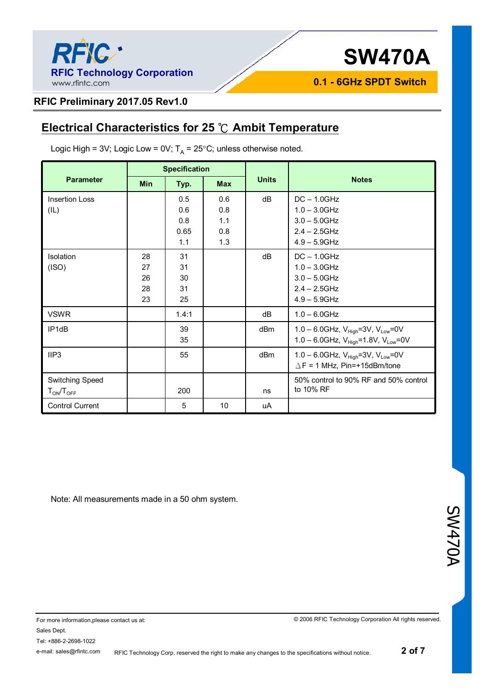

**0.1 - 6GHz SPDT Switch**

### **RFIC Preliminary 2017.05 Rev1.0**

# **Electrical Characteristics for 25 ℃ Ambit Temperature**

|                                     | <b>Specification</b>       |                                  |                                 |                 |                                                                                                               |
|-------------------------------------|----------------------------|----------------------------------|---------------------------------|-----------------|---------------------------------------------------------------------------------------------------------------|
| <b>Parameter</b>                    | <b>Min</b>                 | Typ.                             | <b>Max</b>                      | <b>Units</b>    | <b>Notes</b>                                                                                                  |
| <b>Insertion Loss</b><br>(IL)       |                            | 0.5<br>0.6<br>0.8<br>0.65<br>1.1 | 0.6<br>0.8<br>1.1<br>0.8<br>1.3 | dB              | $DC - 1.0GHz$<br>$1.0 - 3.0$ GHz<br>$3.0 - 5.0$ GHz<br>$2.4 - 2.5$ GHz<br>$4.9 - 5.9$ GHz                     |
| Isolation<br>(ISO)                  | 28<br>27<br>26<br>28<br>23 | 31<br>31<br>30<br>31<br>25       |                                 | dB              | $DC - 1.0GHz$<br>$1.0 - 3.0$ GHz<br>$3.0 - 5.0$ GHz<br>$2.4 - 2.5$ GHz<br>$4.9 - 5.9$ GHz                     |
| <b>VSWR</b>                         |                            | 1.4:1                            |                                 | dB              | $1.0 - 6.0$ GHz                                                                                               |
| IP <sub>1dB</sub>                   |                            | 39<br>35                         |                                 | dB <sub>m</sub> | 1.0 - 6.0GHz, $V_{\text{High}}$ =3V, $V_{\text{Low}}$ =0V<br>1.0 - 6.0GHz, $V_{High} = 1.8V$ , $V_{Low} = 0V$ |
| IIP3                                |                            | 55                               |                                 | dBm             | 1.0 - 6.0GHz, $V_{\text{High}}$ =3V, $V_{\text{Low}}$ =0V<br>$\triangle$ F = 1 MHz, Pin=+15dBm/tone           |
| Switching Speed<br>$T_{ON}/T_{OFF}$ |                            | 200                              |                                 | ns              | 50% control to 90% RF and 50% control<br>to 10% RF                                                            |
| <b>Control Current</b>              |                            | 5                                | 10                              | uA              |                                                                                                               |

Logic High = 3V; Logic Low = 0V;  $T_{\sf A}$  = 25°C; unless otherwise noted.

Note: All measurements made in a 50 ohm system.

SW470A

RFIC Technology Corp. reserved the right to make any changes to the specifications without notice.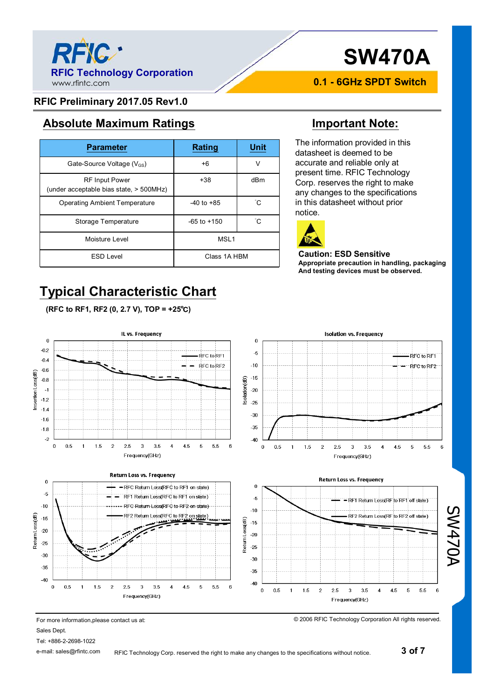

# **SW470A**

**0.1 - 6GHz SPDT Switch**

### **RFIC Preliminary 2017.05 Rev1.0**

# **Absolute Maximum Ratings Important Note:**

| <b>Parameter</b>                                                 | <b>Rating</b>    | <b>Unit</b> |
|------------------------------------------------------------------|------------------|-------------|
| Gate-Source Voltage $(V_{GS})$                                   | $+6$             | V           |
| <b>RF Input Power</b><br>(under acceptable bias state, > 500MHz) | $+38$            | dBm         |
| <b>Operating Ambient Temperature</b>                             | $-40$ to $+85$   | ĈС          |
| Storage Temperature                                              | $-65$ to $+150$  | °C          |
| Moisture Level                                                   | MSL <sub>1</sub> |             |
| <b>ESD Level</b>                                                 | Class 1A HBM     |             |

# **Typical Characteristic Chart**

**(RFC to RF1, RF2 (0, 2.7 V), TOP = +25℃)**

The information provided in this datasheet is deemed to be accurate and reliable only at present time. RFIC Technology Corp. reserves the right to make any changes to the specifications in this datasheet without prior notice.



### **Caution: ESD Sensitive Appropriate precaution in handling, packaging And testing devices must be observed.**



For more information,please contact us at:

Sales Dept.

 $\overline{0}$ 

 $-0.2$ 

 $-0.4$ 

 $-0.6$ 

 $-0.8$ 

 $\overline{a}$ 

 $-1.2$ 

 $-1.4$ 

 $-1.6$  $-1.8$ 

 $-2$ 

 $\bf{0}$ 

 $-5$ 

 $-10$ 

 $-20$ 

 $-25$ 

 $-30$ 

 $-35$ 

 $-40$ 

Return Loss(dB)  $-15$ 

Insertion Loss(dB)

Tel: +886-2-2698-1022

e-mail: sales@rfintc.com RFIC Technology Corp. reserved the right to make any changes to the specifications without notice. SW470A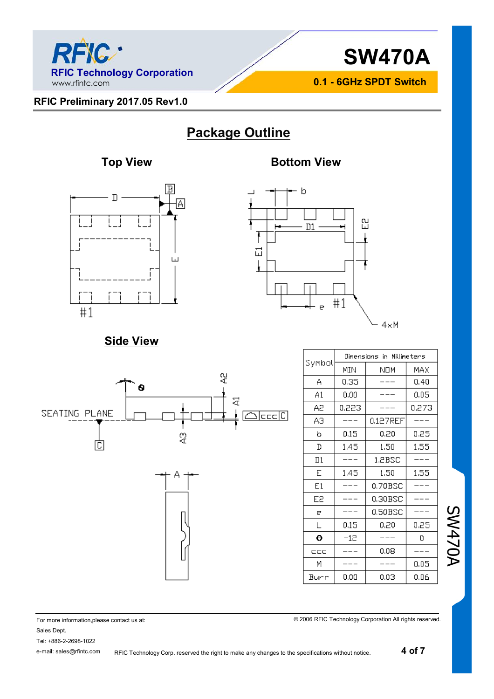



**0.1 - 6GHz SPDT Switch**

### **RFIC Preliminary 2017.05 Rev1.0**

# **Package Outline**

# **Top View <b>Bottom View**





# **Side View**



|        | Dimensions in Millimeters |          |       |  |
|--------|---------------------------|----------|-------|--|
| Symbol | MIN                       | NOM      | MAX   |  |
| А      | 0,35                      |          | 0,40  |  |
| A1     | 0.00                      |          | 0.05  |  |
| Α2     | 0.223                     |          | 0.273 |  |
| ΑЭ     |                           | 0.127REF |       |  |
| b      | 0.15                      | 0.20     | 0.25  |  |
| D      | 1.45                      | 1.50     | 1,55  |  |
| Πl     |                           | 1.2BSC   |       |  |
| E      | 1,45                      | 1,50     | 1,55  |  |
| E1     |                           | 0.70BSC  |       |  |
| E2     |                           | 0.30BSC  |       |  |
| e      |                           | 0.50BSC  |       |  |
| L      | 0.15                      | 0.20     | 0.25  |  |
| θ      | $-12$                     |          | Ω     |  |
| ccc    |                           | 0.08     |       |  |
| М      |                           |          | 0.05  |  |
| Burr   | 0.00                      | 0.03     | 0.06  |  |

SW470A

© 2006 RFIC Technology Corporation All rights reserved.

For more information,please contact us at: Sales Dept.

Tel: +886-2-2698-1022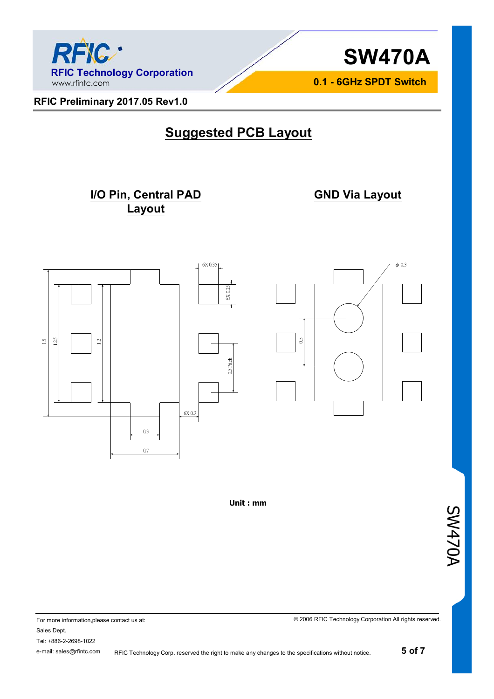



**0.1 - 6GHz SPDT Switch**

**RFIC Preliminary 2017.05 Rev1.0** 

# **Suggested PCB Layout**

## **I/O Pin, Central PAD Layout**

**GND Via Layout**





**Unit : mm**

SW470A

For more information,please contact us at: Sales Dept. Tel: +886-2-2698-1022 e-mail: sales@rfintc.com

RFIC Technology Corp. reserved the right to make any changes to the specifications without notice.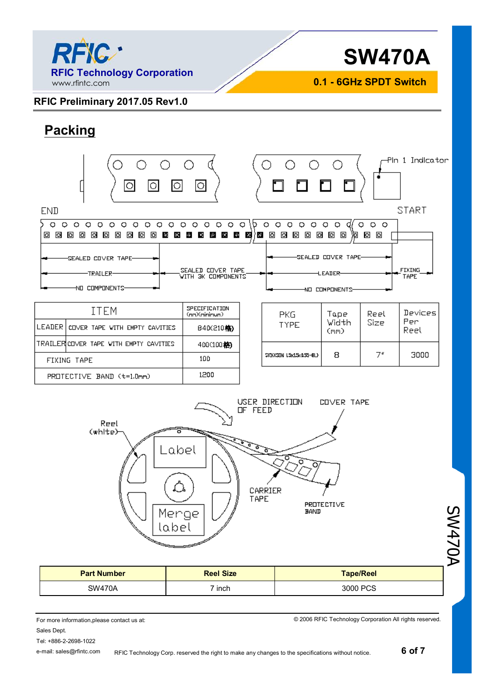

**RFIC Preliminary 2017.05 Rev1.0** 

**SW470A**

**0.1 - 6GHz SPDT Switch**

**Packing**

### Pln 1 Indicator ∩ ाठ ि তি lo END **START**  $0 0 0 0 0 0 0 0 0 0 0$ 16  $\begin{array}{c|c} \circ & \circ & \circ & \circ & \circ \end{array}$  $\begin{array}{ccccccccccccccccc} \circ & \circ & \circ & \circ & \circ & \circ & \circ \end{array}$ di  $\circ$  $\circ$  $\Omega$  $\Omega$ 000000000000000000000000000000000 泡 回 回 Г SEALED COVER TAPE-SEALED COVER TAPE-.<br>SEALED COVER TAPE<br>WITH 3K COMPONENTS **FIXING** LEATER--TRAILER-TAPE **NO COMPONENTS** NO COMPONENTS-SPECIFICATION **ITEM** Devices Gr. 2011 1011 12<br>(mm)(minimum) PKG. Tape Reel Per Width Size TYPE LEADER COVER TAPE WITH EMPTY CAVITIES B40(210格) Reel (mm) TRAILER COVER TAPE WITH EMPTY CAVITIES 400(100格)  $7<sup>o</sup>$ 3000 8 \$KI(KSDN 15x15x155-81) 100 FIXING TAPE 1200 PROTECTIVE BAND (t=1.0mm)



|                    | , Menge '<br>label | .<br>BAND        | ൸<br>₹ |
|--------------------|--------------------|------------------|--------|
| <b>Part Number</b> | <b>Reel Size</b>   | <b>Tape/Reel</b> |        |
| <b>SW470A</b>      | 7 inch             | 3000 PCS         |        |

For more information,please contact us at: Sales Dept.

© 2006 RFIC Technology Corporation All rights reserved.

Tel: +886-2-2698-1022 e-mail: sales@rfintc.com